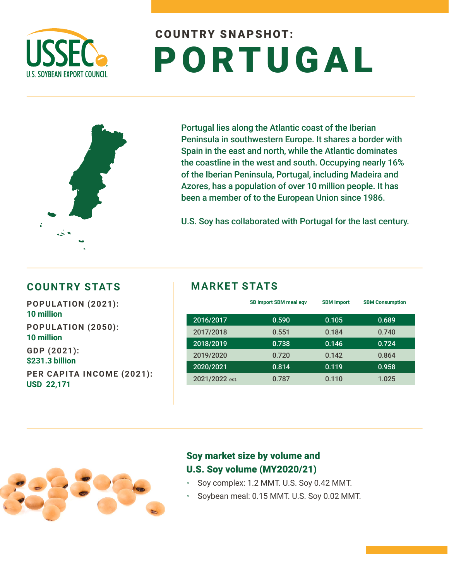

# COUNTRY SNAPSHOT: PORTUGAL



Portugal lies along the Atlantic coast of the Iberian Peninsula in southwestern Europe. It shares a border with Spain in the east and north, while the Atlantic dominates the coastline in the west and south. Occupying nearly 16% of the Iberian Peninsula, Portugal, including Madeira and Azores, has a population of over 10 million people. It has been a member of to the European Union since 1986.

U.S. Soy has collaborated with Portugal for the last century.

**POPULATION (2021): 10 million POPULATION (2050): 10 million GDP (2021): \$231.3 billion PER CAPITA INCOME (2021): USD 22,171**

### **COUNTRY STATS MARKET STATS**

|                | <b>SB Import SBM meal eqv</b> | <b>SBM Import</b> | <b>SBM Consumption</b> |
|----------------|-------------------------------|-------------------|------------------------|
| 2016/2017      | 0.590                         | 0.105             | 0.689                  |
| 2017/2018      | 0.551                         | 0.184             | 0.740                  |
| 2018/2019      | 0.738                         | 0.146             | 0.724                  |
| 2019/2020      | 0.720                         | 0.142             | 0.864                  |
| 2020/2021      | 0.814                         | 0.119             | 0.958                  |
| 2021/2022 est. | 0.787                         | 0.110             | 1.025                  |



#### Soy market size by volume and U.S. Soy volume (MY2020/21)

- Soy complex: 1.2 MMT. U.S. Soy 0.42 MMT.
- Soybean meal: 0.15 MMT. U.S. Soy 0.02 MMT.